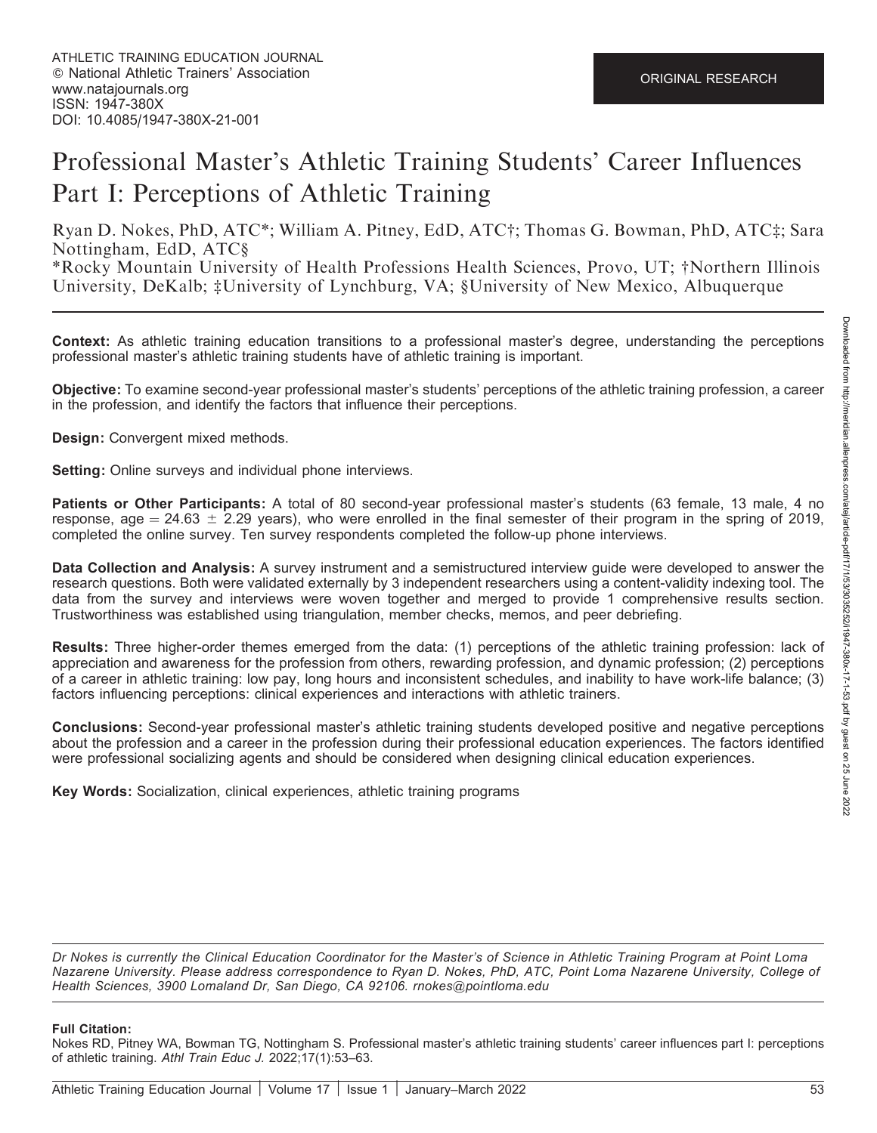# Professional Master's Athletic Training Students' Career Influences Part I: Perceptions of Athletic Training

Ryan D. Nokes, PhD, ATC\*; William A. Pitney, EdD, ATC†; Thomas G. Bowman, PhD, ATC‡; Sara Nottingham, EdD, ATC§

\*Rocky Mountain University of Health Professions Health Sciences, Provo, UT; †Northern Illinois University, DeKalb; ‡University of Lynchburg, VA; §University of New Mexico, Albuquerque

Context: As athletic training education transitions to a professional master's degree, understanding the perceptions professional master's athletic training students have of athletic training is important.

Objective: To examine second-year professional master's students' perceptions of the athletic training profession, a career in the profession, and identify the factors that influence their perceptions.

Design: Convergent mixed methods.

Setting: Online surveys and individual phone interviews.

Patients or Other Participants: A total of 80 second-year professional master's students (63 female, 13 male, 4 no response, age  $= 24.63 \pm 2.29$  years), who were enrolled in the final semester of their program in the spring of 2019, completed the online survey. Ten survey respondents completed the follow-up phone interviews.

Data Collection and Analysis: A survey instrument and a semistructured interview guide were developed to answer the research questions. Both were validated externally by 3 independent researchers using a content-validity indexing tool. The data from the survey and interviews were woven together and merged to provide 1 comprehensive results section. Trustworthiness was established using triangulation, member checks, memos, and peer debriefing.

Results: Three higher-order themes emerged from the data: (1) perceptions of the athletic training profession: lack of appreciation and awareness for the profession from others, rewarding profession, and dynamic profession; (2) perceptions of a career in athletic training: low pay, long hours and inconsistent schedules, and inability to have work-life balance; (3) factors influencing perceptions: clinical experiences and interactions with athletic trainers.

Conclusions: Second-year professional master's athletic training students developed positive and negative perceptions about the profession and a career in the profession during their professional education experiences. The factors identified were professional socializing agents and should be considered when designing clinical education experiences.

Key Words: Socialization, clinical experiences, athletic training programs

Dr Nokes is currently the Clinical Education Coordinator for the Master's of Science in Athletic Training Program at Point Loma Nazarene University. Please address correspondence to Ryan D. Nokes, PhD, ATC, Point Loma Nazarene University, College of Health Sciences, 3900 Lomaland Dr, San Diego, CA 92106. rnokes@pointloma.edu

#### Full Citation:

Nokes RD, Pitney WA, Bowman TG, Nottingham S. Professional master's athletic training students' career influences part I: perceptions of athletic training. Athl Train Educ J. 2022;17(1):53–63.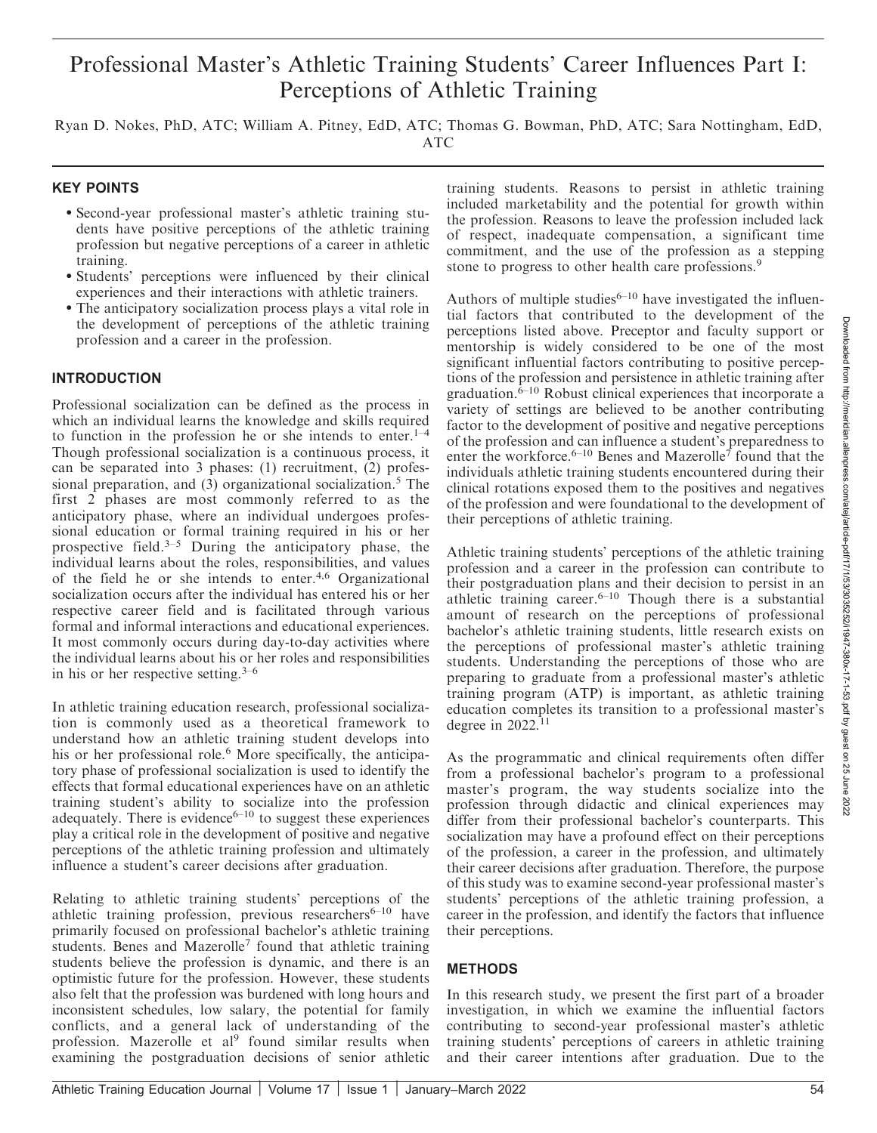## Professional Master's Athletic Training Students' Career Influences Part I: Perceptions of Athletic Training

Ryan D. Nokes, PhD, ATC; William A. Pitney, EdD, ATC; Thomas G. Bowman, PhD, ATC; Sara Nottingham, EdD, ATC

## KEY POINTS

- Second-year professional master's athletic training students have positive perceptions of the athletic training profession but negative perceptions of a career in athletic training.
- Students' perceptions were influenced by their clinical experiences and their interactions with athletic trainers.
- The anticipatory socialization process plays a vital role in the development of perceptions of the athletic training profession and a career in the profession.

#### **INTRODUCTION**

Professional socialization can be defined as the process in which an individual learns the knowledge and skills required to function in the profession he or she intends to enter.<sup>1–4</sup> Though professional socialization is a continuous process, it can be separated into 3 phases: (1) recruitment, (2) professional preparation, and  $(3)$  organizational socialization.<sup>5</sup> The first 2 phases are most commonly referred to as the anticipatory phase, where an individual undergoes professional education or formal training required in his or her prospective field.3–5 During the anticipatory phase, the individual learns about the roles, responsibilities, and values of the field he or she intends to enter.4,6 Organizational socialization occurs after the individual has entered his or her respective career field and is facilitated through various formal and informal interactions and educational experiences. It most commonly occurs during day-to-day activities where the individual learns about his or her roles and responsibilities in his or her respective setting. $3-6$ 

In athletic training education research, professional socialization is commonly used as a theoretical framework to understand how an athletic training student develops into his or her professional role.<sup>6</sup> More specifically, the anticipatory phase of professional socialization is used to identify the effects that formal educational experiences have on an athletic training student's ability to socialize into the profession adequately. There is evidence $6-10$  to suggest these experiences play a critical role in the development of positive and negative perceptions of the athletic training profession and ultimately influence a student's career decisions after graduation.

Relating to athletic training students' perceptions of the athletic training profession, previous researchers $6-10$  have primarily focused on professional bachelor's athletic training students. Benes and Mazerolle<sup>7</sup> found that athletic training students believe the profession is dynamic, and there is an optimistic future for the profession. However, these students also felt that the profession was burdened with long hours and inconsistent schedules, low salary, the potential for family conflicts, and a general lack of understanding of the profession. Mazerolle et al<sup>9</sup> found similar results when examining the postgraduation decisions of senior athletic

training students. Reasons to persist in athletic training included marketability and the potential for growth within the profession. Reasons to leave the profession included lack of respect, inadequate compensation, a significant time commitment, and the use of the profession as a stepping stone to progress to other health care professions.<sup>9</sup>

Authors of multiple studies $6-10$  have investigated the influential factors that contributed to the development of the perceptions listed above. Preceptor and faculty support or mentorship is widely considered to be one of the most significant influential factors contributing to positive perceptions of the profession and persistence in athletic training after  $gradient$ <sub>0.</sub><sup> $\delta$ -10</sup> Robust clinical experiences that incorporate a variety of settings are believed to be another contributing factor to the development of positive and negative perceptions of the profession and can influence a student's preparedness to enter the workforce.<sup>6–10</sup> Benes and Mazerolle<sup>7</sup> found that the individuals athletic training students encountered during their clinical rotations exposed them to the positives and negatives of the profession and were foundational to the development of their perceptions of athletic training.

Athletic training students' perceptions of the athletic training profession and a career in the profession can contribute to their postgraduation plans and their decision to persist in an athletic training career.<sup>6–10</sup> Though there is a substantial amount of research on the perceptions of professional bachelor's athletic training students, little research exists on the perceptions of professional master's athletic training students. Understanding the perceptions of those who are preparing to graduate from a professional master's athletic training program (ATP) is important, as athletic training education completes its transition to a professional master's degree in  $2022$ .<sup>11</sup>

As the programmatic and clinical requirements often differ from a professional bachelor's program to a professional master's program, the way students socialize into the profession through didactic and clinical experiences may differ from their professional bachelor's counterparts. This socialization may have a profound effect on their perceptions of the profession, a career in the profession, and ultimately their career decisions after graduation. Therefore, the purpose of this study was to examine second-year professional master's students' perceptions of the athletic training profession, a career in the profession, and identify the factors that influence their perceptions.

## METHODS

In this research study, we present the first part of a broader investigation, in which we examine the influential factors contributing to second-year professional master's athletic training students' perceptions of careers in athletic training and their career intentions after graduation. Due to the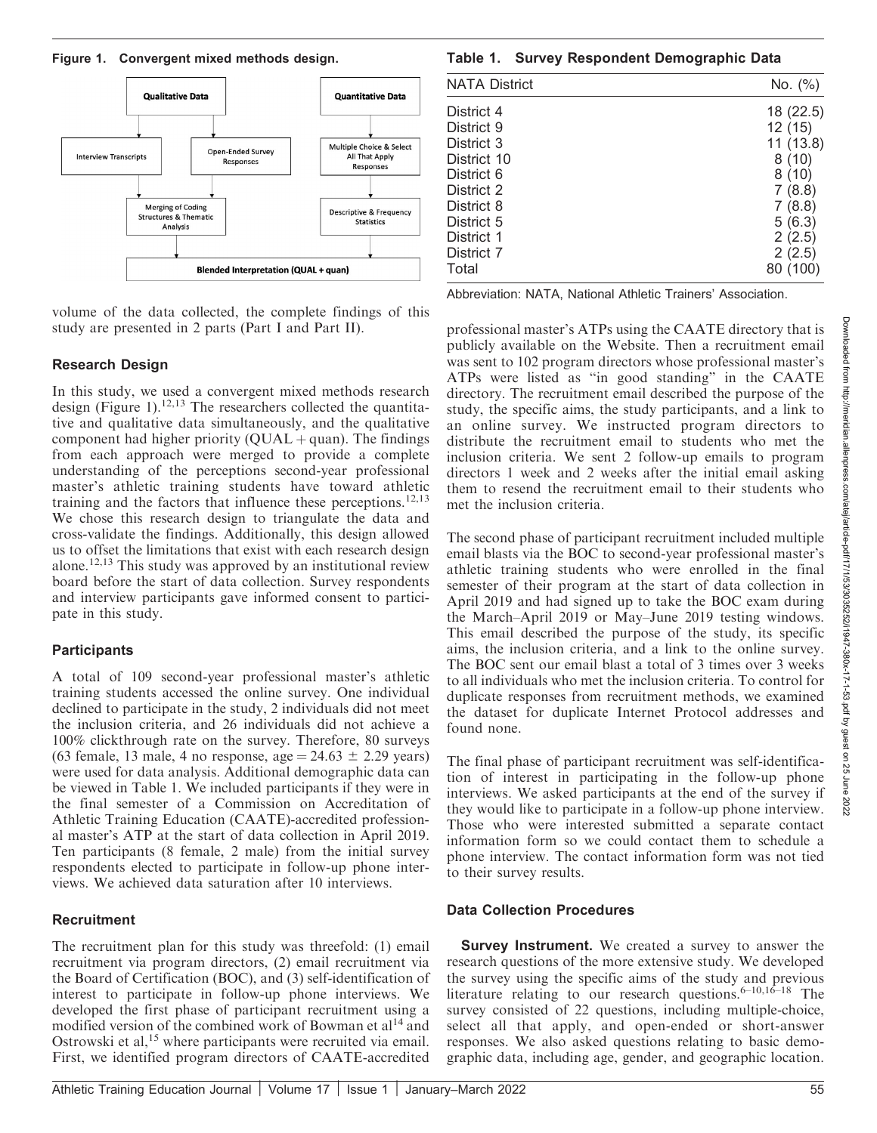

volume of the data collected, the complete findings of this study are presented in 2 parts (Part I and Part II).

## Research Design

In this study, we used a convergent mixed methods research design (Figure 1).<sup>12,13</sup> The researchers collected the quantitative and qualitative data simultaneously, and the qualitative component had higher priority  $(QUAL + quan)$ . The findings from each approach were merged to provide a complete understanding of the perceptions second-year professional master's athletic training students have toward athletic training and the factors that influence these perceptions.<sup>12,13</sup> We chose this research design to triangulate the data and cross-validate the findings. Additionally, this design allowed us to offset the limitations that exist with each research design alone.<sup>12,13</sup> This study was approved by an institutional review board before the start of data collection. Survey respondents and interview participants gave informed consent to participate in this study.

## **Participants**

A total of 109 second-year professional master's athletic training students accessed the online survey. One individual declined to participate in the study, 2 individuals did not meet the inclusion criteria, and 26 individuals did not achieve a 100% clickthrough rate on the survey. Therefore, 80 surveys (63 female, 13 male, 4 no response, age  $= 24.63 \pm 2.29$  years) were used for data analysis. Additional demographic data can be viewed in Table 1. We included participants if they were in the final semester of a Commission on Accreditation of Athletic Training Education (CAATE)-accredited professional master's ATP at the start of data collection in April 2019. Ten participants (8 female, 2 male) from the initial survey respondents elected to participate in follow-up phone interviews. We achieved data saturation after 10 interviews.

## **Recruitment**

The recruitment plan for this study was threefold: (1) email recruitment via program directors, (2) email recruitment via the Board of Certification (BOC), and (3) self-identification of interest to participate in follow-up phone interviews. We developed the first phase of participant recruitment using a modified version of the combined work of Bowman et al<sup>14</sup> and Ostrowski et al,<sup>15</sup> where participants were recruited via email. First, we identified program directors of CAATE-accredited

## Figure 1. Convergent mixed methods design. Table 1. Survey Respondent Demographic Data

| <b>NATA District</b> | No. (%)      |
|----------------------|--------------|
| District 4           | 18 (22.5)    |
| District 9           | 12(15)       |
| District 3           | 11(13.8)     |
| District 10          | 8(10)        |
| District 6           | 8(10)        |
| District 2           | (8.8)<br>7.  |
| District 8           | 7(8.8)       |
| District 5           | 5(6.3)       |
| District 1           | 2(2.5)       |
| District 7           | 2(2.5)       |
| Total                | (100)<br>80. |

Abbreviation: NATA, National Athletic Trainers' Association.

professional master's ATPs using the CAATE directory that is publicly available on the Website. Then a recruitment email was sent to 102 program directors whose professional master's ATPs were listed as ''in good standing'' in the CAATE directory. The recruitment email described the purpose of the study, the specific aims, the study participants, and a link to an online survey. We instructed program directors to distribute the recruitment email to students who met the inclusion criteria. We sent 2 follow-up emails to program directors 1 week and 2 weeks after the initial email asking them to resend the recruitment email to their students who met the inclusion criteria.

The second phase of participant recruitment included multiple email blasts via the BOC to second-year professional master's athletic training students who were enrolled in the final semester of their program at the start of data collection in April 2019 and had signed up to take the BOC exam during the March–April 2019 or May–June 2019 testing windows. This email described the purpose of the study, its specific aims, the inclusion criteria, and a link to the online survey. The BOC sent our email blast a total of 3 times over 3 weeks to all individuals who met the inclusion criteria. To control for duplicate responses from recruitment methods, we examined the dataset for duplicate Internet Protocol addresses and found none.

The final phase of participant recruitment was self-identification of interest in participating in the follow-up phone interviews. We asked participants at the end of the survey if they would like to participate in a follow-up phone interview. Those who were interested submitted a separate contact information form so we could contact them to schedule a phone interview. The contact information form was not tied to their survey results.

## Data Collection Procedures

**Survey Instrument.** We created a survey to answer the research questions of the more extensive study. We developed the survey using the specific aims of the study and previous literature relating to our research questions.  $6-10,16-18$  The survey consisted of 22 questions, including multiple-choice, select all that apply, and open-ended or short-answer responses. We also asked questions relating to basic demographic data, including age, gender, and geographic location.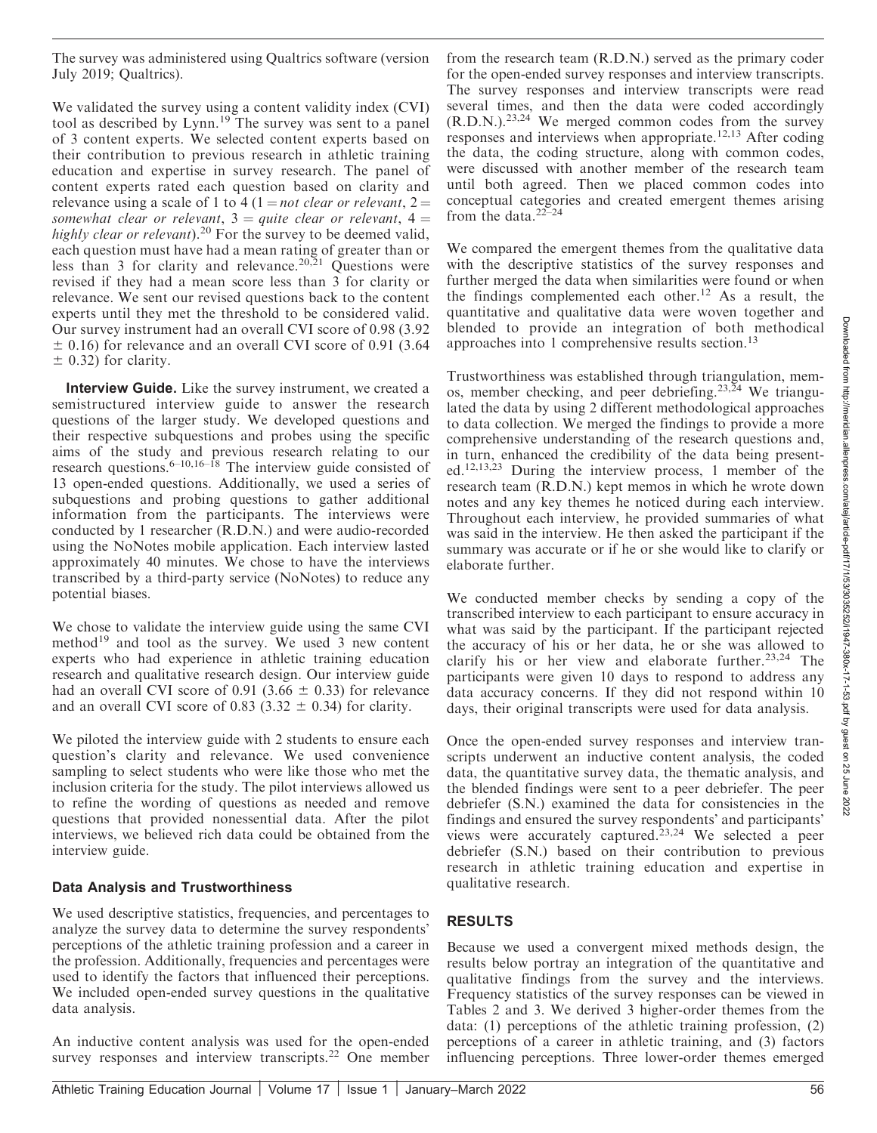The survey was administered using Qualtrics software (version July 2019; Qualtrics).

We validated the survey using a content validity index (CVI) tool as described by Lynn.<sup>19</sup> The survey was sent to a panel of 3 content experts. We selected content experts based on their contribution to previous research in athletic training education and expertise in survey research. The panel of content experts rated each question based on clarity and relevance using a scale of 1 to 4 (1 = *not clear or relevant*, 2 = somewhat clear or relevant,  $3 =$  quite clear or relevant,  $4 =$ highly clear or relevant).<sup>20</sup> For the survey to be deemed valid, each question must have had a mean rating of greater than or less than 3 for clarity and relevance.<sup>20,21</sup> Questions were revised if they had a mean score less than 3 for clarity or relevance. We sent our revised questions back to the content experts until they met the threshold to be considered valid. Our survey instrument had an overall CVI score of 0.98 (3.92  $\pm$  0.16) for relevance and an overall CVI score of 0.91 (3.64  $\pm$  0.32) for clarity.

Interview Guide. Like the survey instrument, we created a semistructured interview guide to answer the research questions of the larger study. We developed questions and their respective subquestions and probes using the specific aims of the study and previous research relating to our research questions.<sup>6–10,16–18</sup> The interview guide consisted of 13 open-ended questions. Additionally, we used a series of subquestions and probing questions to gather additional information from the participants. The interviews were conducted by 1 researcher (R.D.N.) and were audio-recorded using the NoNotes mobile application. Each interview lasted approximately 40 minutes. We chose to have the interviews transcribed by a third-party service (NoNotes) to reduce any potential biases.

We chose to validate the interview guide using the same CVI method<sup>19</sup> and tool as the survey. We used 3 new content experts who had experience in athletic training education research and qualitative research design. Our interview guide had an overall CVI score of 0.91 (3.66  $\pm$  0.33) for relevance and an overall CVI score of 0.83 (3.32  $\pm$  0.34) for clarity.

We piloted the interview guide with 2 students to ensure each question's clarity and relevance. We used convenience sampling to select students who were like those who met the inclusion criteria for the study. The pilot interviews allowed us to refine the wording of questions as needed and remove questions that provided nonessential data. After the pilot interviews, we believed rich data could be obtained from the interview guide.

## Data Analysis and Trustworthiness

We used descriptive statistics, frequencies, and percentages to analyze the survey data to determine the survey respondents' perceptions of the athletic training profession and a career in the profession. Additionally, frequencies and percentages were used to identify the factors that influenced their perceptions. We included open-ended survey questions in the qualitative data analysis.

An inductive content analysis was used for the open-ended survey responses and interview transcripts.<sup>22</sup> One member

from the research team (R.D.N.) served as the primary coder for the open-ended survey responses and interview transcripts. The survey responses and interview transcripts were read several times, and then the data were coded accordingly  $(R.D.N.)^{23,24}$  We merged common codes from the survey responses and interviews when appropriate.<sup>12,13</sup> After coding the data, the coding structure, along with common codes, were discussed with another member of the research team until both agreed. Then we placed common codes into conceptual categories and created emergent themes arising from the data. $22-24$ 

We compared the emergent themes from the qualitative data with the descriptive statistics of the survey responses and further merged the data when similarities were found or when the findings complemented each other.<sup>12</sup> As a result, the quantitative and qualitative data were woven together and blended to provide an integration of both methodical approaches into 1 comprehensive results section.<sup>13</sup>

Trustworthiness was established through triangulation, memos, member checking, and peer debriefing.<sup>23,24</sup> We triangulated the data by using 2 different methodological approaches to data collection. We merged the findings to provide a more comprehensive understanding of the research questions and, in turn, enhanced the credibility of the data being presented.12,13,23 During the interview process, 1 member of the research team (R.D.N.) kept memos in which he wrote down notes and any key themes he noticed during each interview. Throughout each interview, he provided summaries of what was said in the interview. He then asked the participant if the summary was accurate or if he or she would like to clarify or elaborate further.

We conducted member checks by sending a copy of the transcribed interview to each participant to ensure accuracy in what was said by the participant. If the participant rejected the accuracy of his or her data, he or she was allowed to clarify his or her view and elaborate further.<sup>23,24</sup> The participants were given 10 days to respond to address any data accuracy concerns. If they did not respond within 10 days, their original transcripts were used for data analysis.

Once the open-ended survey responses and interview transcripts underwent an inductive content analysis, the coded data, the quantitative survey data, the thematic analysis, and the blended findings were sent to a peer debriefer. The peer debriefer (S.N.) examined the data for consistencies in the findings and ensured the survey respondents' and participants' views were accurately captured.<sup>23,24</sup> We selected a peer debriefer (S.N.) based on their contribution to previous research in athletic training education and expertise in qualitative research.

## RESULTS

Because we used a convergent mixed methods design, the results below portray an integration of the quantitative and qualitative findings from the survey and the interviews. Frequency statistics of the survey responses can be viewed in Tables 2 and 3. We derived 3 higher-order themes from the data: (1) perceptions of the athletic training profession, (2) perceptions of a career in athletic training, and (3) factors influencing perceptions. Three lower-order themes emerged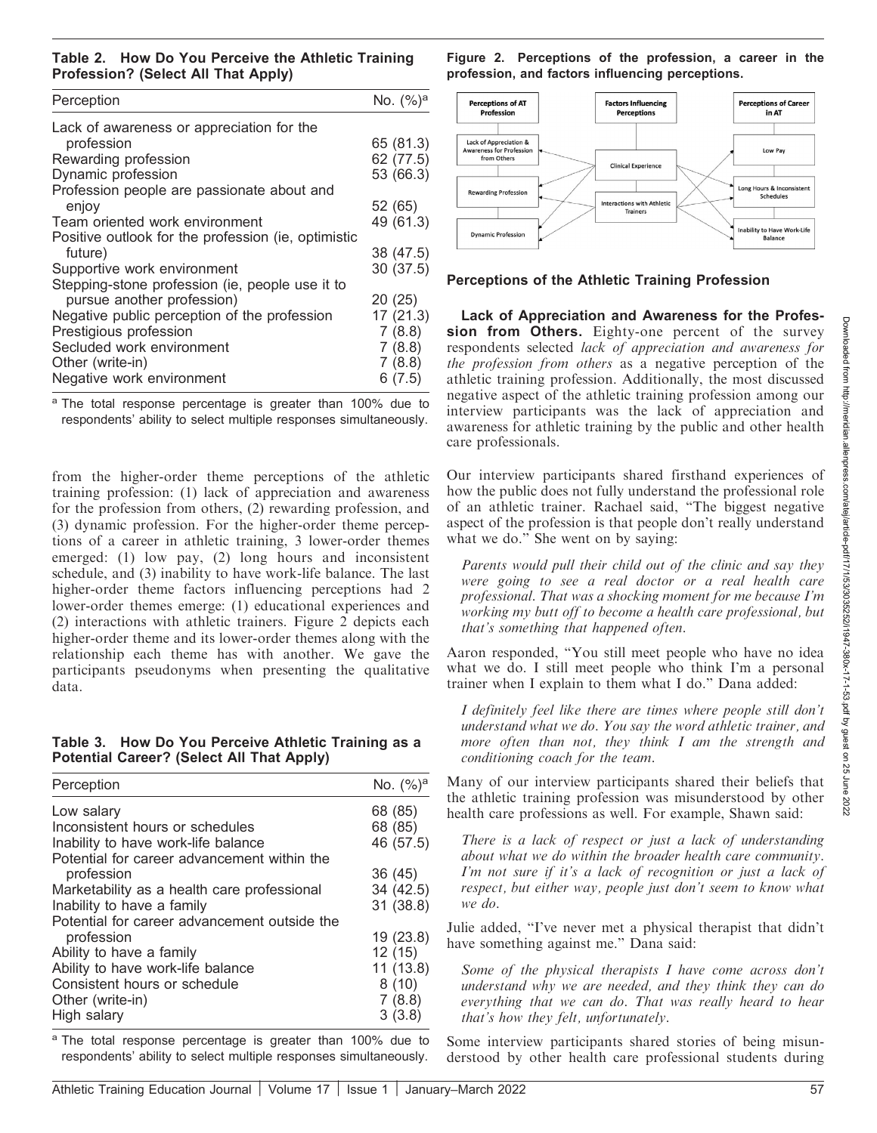Table 2. How Do You Perceive the Athletic Training Profession? (Select All That Apply)

| Perception                                          | No. $(%)^a$ |
|-----------------------------------------------------|-------------|
| Lack of awareness or appreciation for the           |             |
| profession                                          | 65 (81.3)   |
| Rewarding profession                                | 62 (77.5)   |
| Dynamic profession                                  | 53 (66.3)   |
| Profession people are passionate about and          |             |
| enjoy                                               | 52 (65)     |
| Team oriented work environment                      | 49 (61.3)   |
| Positive outlook for the profession (ie, optimistic |             |
| future)                                             | 38 (47.5)   |
| Supportive work environment                         | 30(37.5)    |
| Stepping-stone profession (ie, people use it to     |             |
| pursue another profession)                          | 20(25)      |
| Negative public perception of the profession        | 17(21.3)    |
| Prestigious profession                              | 7(8.8)      |
| Secluded work environment                           | 7(8.8)      |
| Other (write-in)                                    | 7(8.8)      |
| Negative work environment                           | 6(7.5)      |

<sup>a</sup> The total response percentage is greater than 100% due to respondents' ability to select multiple responses simultaneously.

from the higher-order theme perceptions of the athletic training profession: (1) lack of appreciation and awareness for the profession from others, (2) rewarding profession, and (3) dynamic profession. For the higher-order theme perceptions of a career in athletic training, 3 lower-order themes emerged: (1) low pay, (2) long hours and inconsistent schedule, and (3) inability to have work-life balance. The last higher-order theme factors influencing perceptions had 2 lower-order themes emerge: (1) educational experiences and (2) interactions with athletic trainers. Figure 2 depicts each higher-order theme and its lower-order themes along with the relationship each theme has with another. We gave the participants pseudonyms when presenting the qualitative data.

Table 3. How Do You Perceive Athletic Training as a Potential Career? (Select All That Apply)

| Perception                                   | No. $({\%})^a$ |
|----------------------------------------------|----------------|
| Low salary                                   | 68 (85)        |
| Inconsistent hours or schedules              | 68 (85)        |
| Inability to have work-life balance          | 46 (57.5)      |
| Potential for career advancement within the  |                |
| profession                                   | 36 (45)        |
| Marketability as a health care professional  | 34 (42.5)      |
| Inability to have a family                   | 31 (38.8)      |
| Potential for career advancement outside the |                |
| profession                                   | 19(23.8)       |
| Ability to have a family                     | 12(15)         |
| Ability to have work-life balance            | 11(13.8)       |
| Consistent hours or schedule                 | 8(10)          |
| Other (write-in)                             | 7(8.8)         |
| High salary                                  | 3(3.8)         |

<sup>a</sup> The total response percentage is greater than 100% due to respondents' ability to select multiple responses simultaneously.

Figure 2. Perceptions of the profession, a career in the profession, and factors influencing perceptions.



#### Perceptions of the Athletic Training Profession

Lack of Appreciation and Awareness for the Profession from Others. Eighty-one percent of the survey respondents selected lack of appreciation and awareness for the profession from others as a negative perception of the athletic training profession. Additionally, the most discussed negative aspect of the athletic training profession among our interview participants was the lack of appreciation and awareness for athletic training by the public and other health care professionals.

Our interview participants shared firsthand experiences of how the public does not fully understand the professional role of an athletic trainer. Rachael said, ''The biggest negative aspect of the profession is that people don't really understand what we do." She went on by saying:

Parents would pull their child out of the clinic and say they were going to see a real doctor or a real health care professional. That was a shocking moment for me because I'm working my butt off to become a health care professional, but that's something that happened often.

Aaron responded, ''You still meet people who have no idea what we do. I still meet people who think I'm a personal trainer when I explain to them what I do.'' Dana added:

I definitely feel like there are times where people still don't understand what we do. You say the word athletic trainer, and more often than not, they think I am the strength and conditioning coach for the team.

Many of our interview participants shared their beliefs that the athletic training profession was misunderstood by other health care professions as well. For example, Shawn said:

There is a lack of respect or just a lack of understanding about what we do within the broader health care community. I'm not sure if it's a lack of recognition or just a lack of respect, but either way, people just don't seem to know what we do.

Julie added, ''I've never met a physical therapist that didn't have something against me.'' Dana said:

Some of the physical therapists I have come across don't understand why we are needed, and they think they can do everything that we can do. That was really heard to hear that's how they felt, unfortunately.

Some interview participants shared stories of being misunderstood by other health care professional students during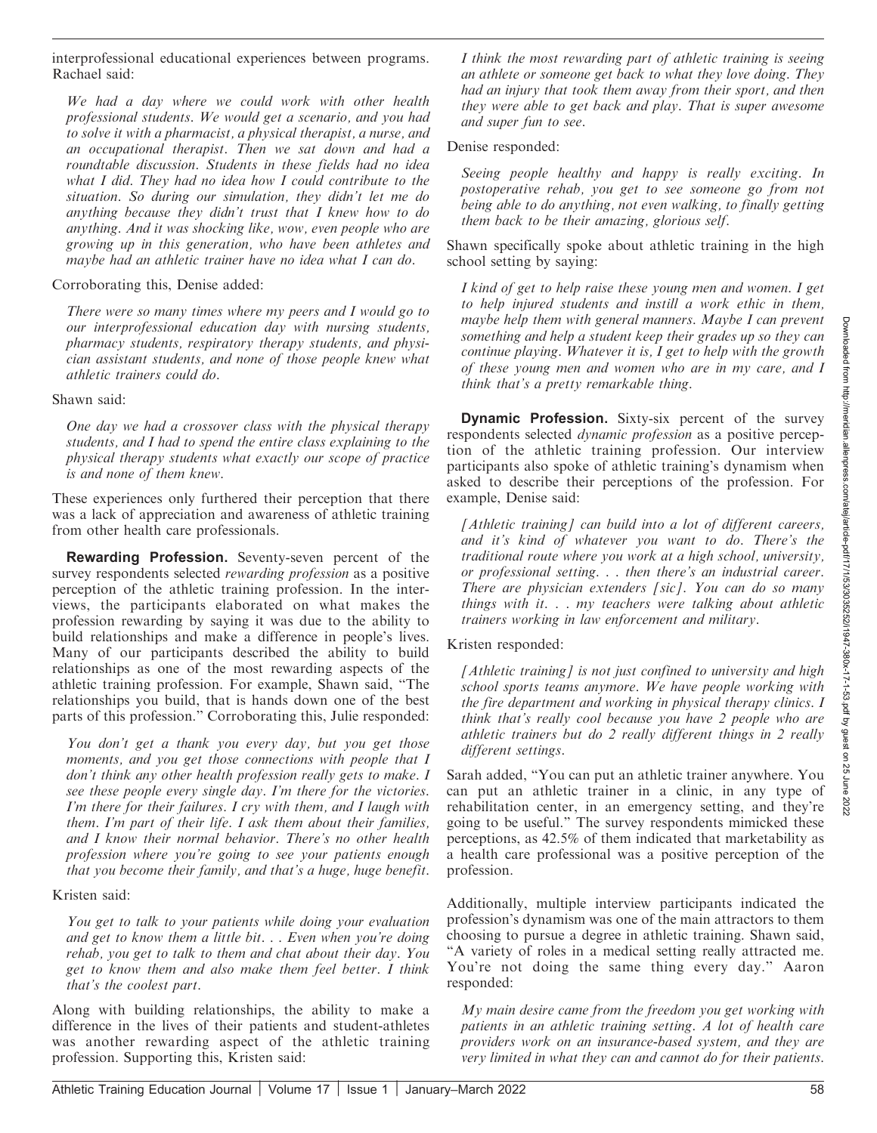Downloaded from http://meridian.allenpress.com/atej/article-pdf/17/1/53/3035252/i1947-380x-17-1-53.pdf by guest on 25 June 2022Downloaded from http://meridian.allenpress.com/atej/article-pdf/17/1/53/303522/1947-380x-17-1-53.pdf by guest on 25 June 2022

interprofessional educational experiences between programs. Rachael said:

We had a day where we could work with other health professional students. We would get a scenario, and you had to solve it with a pharmacist, a physical therapist, a nurse, and an occupational therapist. Then we sat down and had a roundtable discussion. Students in these fields had no idea what I did. They had no idea how I could contribute to the situation. So during our simulation, they didn't let me do anything because they didn't trust that I knew how to do anything. And it was shocking like, wow, even people who are growing up in this generation, who have been athletes and maybe had an athletic trainer have no idea what I can do.

Corroborating this, Denise added:

There were so many times where my peers and I would go to our interprofessional education day with nursing students, pharmacy students, respiratory therapy students, and physician assistant students, and none of those people knew what athletic trainers could do.

Shawn said:

One day we had a crossover class with the physical therapy students, and I had to spend the entire class explaining to the physical therapy students what exactly our scope of practice is and none of them knew.

These experiences only furthered their perception that there was a lack of appreciation and awareness of athletic training from other health care professionals.

Rewarding Profession. Seventy-seven percent of the survey respondents selected *rewarding profession* as a positive perception of the athletic training profession. In the interviews, the participants elaborated on what makes the profession rewarding by saying it was due to the ability to build relationships and make a difference in people's lives. Many of our participants described the ability to build relationships as one of the most rewarding aspects of the athletic training profession. For example, Shawn said, ''The relationships you build, that is hands down one of the best parts of this profession.'' Corroborating this, Julie responded:

You don't get a thank you every day, but you get those moments, and you get those connections with people that I don't think any other health profession really gets to make. I see these people every single day. I'm there for the victories. I'm there for their failures. I cry with them, and I laugh with them. I'm part of their life. I ask them about their families, and I know their normal behavior. There's no other health profession where you're going to see your patients enough that you become their family, and that's a huge, huge benefit.

Kristen said:

You get to talk to your patients while doing your evaluation and get to know them a little bit. . . Even when you're doing rehab, you get to talk to them and chat about their day. You get to know them and also make them feel better. I think that's the coolest part.

Along with building relationships, the ability to make a difference in the lives of their patients and student-athletes was another rewarding aspect of the athletic training profession. Supporting this, Kristen said:

I think the most rewarding part of athletic training is seeing an athlete or someone get back to what they love doing. They had an injury that took them away from their sport, and then they were able to get back and play. That is super awesome and super fun to see.

Denise responded:

Seeing people healthy and happy is really exciting. In postoperative rehab, you get to see someone go from not being able to do anything, not even walking, to finally getting them back to be their amazing, glorious self.

Shawn specifically spoke about athletic training in the high school setting by saying:

I kind of get to help raise these young men and women. I get to help injured students and instill a work ethic in them, maybe help them with general manners. Maybe I can prevent something and help a student keep their grades up so they can continue playing. Whatever it is, I get to help with the growth of these young men and women who are in my care, and I think that's a pretty remarkable thing.

Dynamic Profession. Sixty-six percent of the survey respondents selected dynamic profession as a positive perception of the athletic training profession. Our interview participants also spoke of athletic training's dynamism when asked to describe their perceptions of the profession. For example, Denise said:

[Athletic training] can build into a lot of different careers, and it's kind of whatever you want to do. There's the traditional route where you work at a high school, university, or professional setting. . . then there's an industrial career. There are physician extenders [sic]. You can do so many things with it. . . my teachers were talking about athletic trainers working in law enforcement and military.

Kristen responded:

[Athletic training] is not just confined to university and high school sports teams anymore. We have people working with the fire department and working in physical therapy clinics. I think that's really cool because you have 2 people who are athletic trainers but do 2 really different things in 2 really different settings.

Sarah added, ''You can put an athletic trainer anywhere. You can put an athletic trainer in a clinic, in any type of rehabilitation center, in an emergency setting, and they're going to be useful.'' The survey respondents mimicked these perceptions, as 42.5% of them indicated that marketability as a health care professional was a positive perception of the profession.

Additionally, multiple interview participants indicated the profession's dynamism was one of the main attractors to them choosing to pursue a degree in athletic training. Shawn said, ''A variety of roles in a medical setting really attracted me. You're not doing the same thing every day.'' Aaron responded:

My main desire came from the freedom you get working with patients in an athletic training setting. A lot of health care providers work on an insurance-based system, and they are very limited in what they can and cannot do for their patients.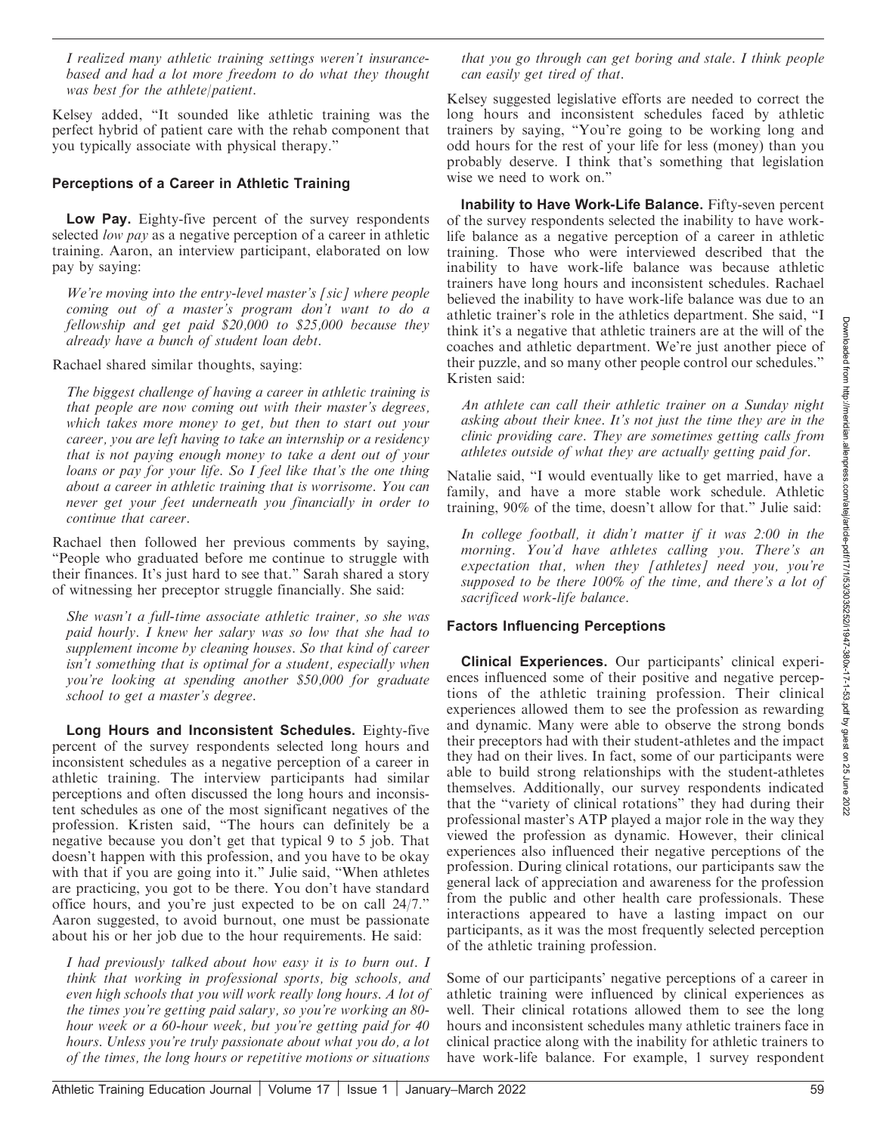I realized many athletic training settings weren't insurancebased and had a lot more freedom to do what they thought was best for the athlete/patient.

Kelsey added, ''It sounded like athletic training was the perfect hybrid of patient care with the rehab component that you typically associate with physical therapy.''

#### Perceptions of a Career in Athletic Training

Low Pay. Eighty-five percent of the survey respondents selected low pay as a negative perception of a career in athletic training. Aaron, an interview participant, elaborated on low pay by saying:

We're moving into the entry-level master's [sic] where people coming out of a master's program don't want to do a fellowship and get paid \$20,000 to \$25,000 because they already have a bunch of student loan debt.

Rachael shared similar thoughts, saying:

The biggest challenge of having a career in athletic training is that people are now coming out with their master's degrees, which takes more money to get, but then to start out your career, you are left having to take an internship or a residency that is not paying enough money to take a dent out of your loans or pay for your life. So I feel like that's the one thing about a career in athletic training that is worrisome. You can never get your feet underneath you financially in order to continue that career.

Rachael then followed her previous comments by saying, ''People who graduated before me continue to struggle with their finances. It's just hard to see that.'' Sarah shared a story of witnessing her preceptor struggle financially. She said:

She wasn't a full-time associate athletic trainer, so she was paid hourly. I knew her salary was so low that she had to supplement income by cleaning houses. So that kind of career isn't something that is optimal for a student, especially when you're looking at spending another \$50,000 for graduate school to get a master's degree.

Long Hours and Inconsistent Schedules. Eighty-five percent of the survey respondents selected long hours and inconsistent schedules as a negative perception of a career in athletic training. The interview participants had similar perceptions and often discussed the long hours and inconsistent schedules as one of the most significant negatives of the profession. Kristen said, ''The hours can definitely be a negative because you don't get that typical 9 to 5 job. That doesn't happen with this profession, and you have to be okay with that if you are going into it." Julie said, "When athletes are practicing, you got to be there. You don't have standard office hours, and you're just expected to be on call 24/7.'' Aaron suggested, to avoid burnout, one must be passionate about his or her job due to the hour requirements. He said:

I had previously talked about how easy it is to burn out. I think that working in professional sports, big schools, and even high schools that you will work really long hours. A lot of the times you're getting paid salary, so you're working an 80 hour week or a 60-hour week, but you're getting paid for 40 hours. Unless you're truly passionate about what you do, a lot of the times, the long hours or repetitive motions or situations

that you go through can get boring and stale. I think people can easily get tired of that.

Kelsey suggested legislative efforts are needed to correct the long hours and inconsistent schedules faced by athletic trainers by saying, ''You're going to be working long and odd hours for the rest of your life for less (money) than you probably deserve. I think that's something that legislation wise we need to work on.''

Inability to Have Work-Life Balance. Fifty-seven percent of the survey respondents selected the inability to have worklife balance as a negative perception of a career in athletic training. Those who were interviewed described that the inability to have work-life balance was because athletic trainers have long hours and inconsistent schedules. Rachael believed the inability to have work-life balance was due to an athletic trainer's role in the athletics department. She said, ''I think it's a negative that athletic trainers are at the will of the coaches and athletic department. We're just another piece of their puzzle, and so many other people control our schedules.'' Kristen said:

An athlete can call their athletic trainer on a Sunday night asking about their knee. It's not just the time they are in the clinic providing care. They are sometimes getting calls from athletes outside of what they are actually getting paid for.

Natalie said, ''I would eventually like to get married, have a family, and have a more stable work schedule. Athletic training, 90% of the time, doesn't allow for that.'' Julie said:

In college football, it didn't matter if it was 2:00 in the morning. You'd have athletes calling you. There's an expectation that, when they [athletes] need you, you're supposed to be there 100% of the time, and there's a lot of sacrificed work-life balance.

## Factors Influencing Perceptions

Clinical Experiences. Our participants' clinical experiences influenced some of their positive and negative perceptions of the athletic training profession. Their clinical experiences allowed them to see the profession as rewarding and dynamic. Many were able to observe the strong bonds their preceptors had with their student-athletes and the impact they had on their lives. In fact, some of our participants were able to build strong relationships with the student-athletes themselves. Additionally, our survey respondents indicated that the ''variety of clinical rotations'' they had during their professional master's ATP played a major role in the way they viewed the profession as dynamic. However, their clinical experiences also influenced their negative perceptions of the profession. During clinical rotations, our participants saw the general lack of appreciation and awareness for the profession from the public and other health care professionals. These interactions appeared to have a lasting impact on our participants, as it was the most frequently selected perception of the athletic training profession.

Some of our participants' negative perceptions of a career in athletic training were influenced by clinical experiences as well. Their clinical rotations allowed them to see the long hours and inconsistent schedules many athletic trainers face in clinical practice along with the inability for athletic trainers to have work-life balance. For example, 1 survey respondent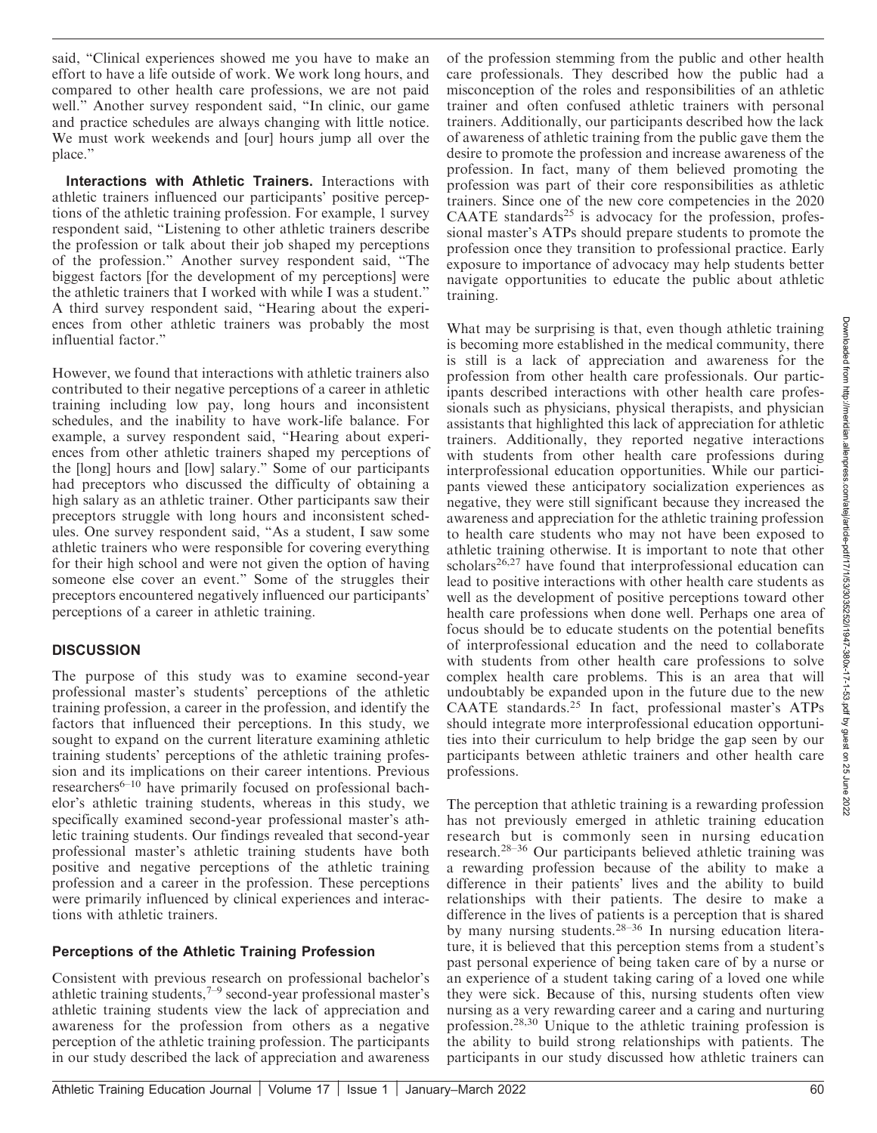said, ''Clinical experiences showed me you have to make an effort to have a life outside of work. We work long hours, and compared to other health care professions, we are not paid well.'' Another survey respondent said, ''In clinic, our game and practice schedules are always changing with little notice. We must work weekends and [our] hours jump all over the place.''

Interactions with Athletic Trainers. Interactions with athletic trainers influenced our participants' positive perceptions of the athletic training profession. For example, 1 survey respondent said, ''Listening to other athletic trainers describe the profession or talk about their job shaped my perceptions of the profession.'' Another survey respondent said, ''The biggest factors [for the development of my perceptions] were the athletic trainers that I worked with while I was a student.'' A third survey respondent said, ''Hearing about the experiences from other athletic trainers was probably the most influential factor.''

However, we found that interactions with athletic trainers also contributed to their negative perceptions of a career in athletic training including low pay, long hours and inconsistent schedules, and the inability to have work-life balance. For example, a survey respondent said, ''Hearing about experiences from other athletic trainers shaped my perceptions of the [long] hours and [low] salary.'' Some of our participants had preceptors who discussed the difficulty of obtaining a high salary as an athletic trainer. Other participants saw their preceptors struggle with long hours and inconsistent schedules. One survey respondent said, ''As a student, I saw some athletic trainers who were responsible for covering everything for their high school and were not given the option of having someone else cover an event.'' Some of the struggles their preceptors encountered negatively influenced our participants' perceptions of a career in athletic training.

## **DISCUSSION**

The purpose of this study was to examine second-year professional master's students' perceptions of the athletic training profession, a career in the profession, and identify the factors that influenced their perceptions. In this study, we sought to expand on the current literature examining athletic training students' perceptions of the athletic training profession and its implications on their career intentions. Previous researchers<sup>6-10</sup> have primarily focused on professional bachelor's athletic training students, whereas in this study, we specifically examined second-year professional master's athletic training students. Our findings revealed that second-year professional master's athletic training students have both positive and negative perceptions of the athletic training profession and a career in the profession. These perceptions were primarily influenced by clinical experiences and interactions with athletic trainers.

## Perceptions of the Athletic Training Profession

Consistent with previous research on professional bachelor's athletic training students, $7-9$  second-year professional master's athletic training students view the lack of appreciation and awareness for the profession from others as a negative perception of the athletic training profession. The participants in our study described the lack of appreciation and awareness

of the profession stemming from the public and other health care professionals. They described how the public had a misconception of the roles and responsibilities of an athletic trainer and often confused athletic trainers with personal trainers. Additionally, our participants described how the lack of awareness of athletic training from the public gave them the desire to promote the profession and increase awareness of the profession. In fact, many of them believed promoting the profession was part of their core responsibilities as athletic trainers. Since one of the new core competencies in the 2020 CAATE standards $25$  is advocacy for the profession, professional master's ATPs should prepare students to promote the profession once they transition to professional practice. Early exposure to importance of advocacy may help students better navigate opportunities to educate the public about athletic training.

What may be surprising is that, even though athletic training is becoming more established in the medical community, there is still is a lack of appreciation and awareness for the profession from other health care professionals. Our participants described interactions with other health care professionals such as physicians, physical therapists, and physician assistants that highlighted this lack of appreciation for athletic trainers. Additionally, they reported negative interactions with students from other health care professions during interprofessional education opportunities. While our participants viewed these anticipatory socialization experiences as negative, they were still significant because they increased the awareness and appreciation for the athletic training profession to health care students who may not have been exposed to athletic training otherwise. It is important to note that other scholars<sup>26,27</sup> have found that interprofessional education can lead to positive interactions with other health care students as well as the development of positive perceptions toward other health care professions when done well. Perhaps one area of focus should be to educate students on the potential benefits of interprofessional education and the need to collaborate with students from other health care professions to solve complex health care problems. This is an area that will undoubtably be expanded upon in the future due to the new CAATE standards.25 In fact, professional master's ATPs should integrate more interprofessional education opportunities into their curriculum to help bridge the gap seen by our participants between athletic trainers and other health care professions.

The perception that athletic training is a rewarding profession has not previously emerged in athletic training education research but is commonly seen in nursing education research.28–36 Our participants believed athletic training was a rewarding profession because of the ability to make a difference in their patients' lives and the ability to build relationships with their patients. The desire to make a difference in the lives of patients is a perception that is shared by many nursing students.28–36 In nursing education literature, it is believed that this perception stems from a student's past personal experience of being taken care of by a nurse or an experience of a student taking caring of a loved one while they were sick. Because of this, nursing students often view nursing as a very rewarding career and a caring and nurturing profession.28,30 Unique to the athletic training profession is the ability to build strong relationships with patients. The participants in our study discussed how athletic trainers can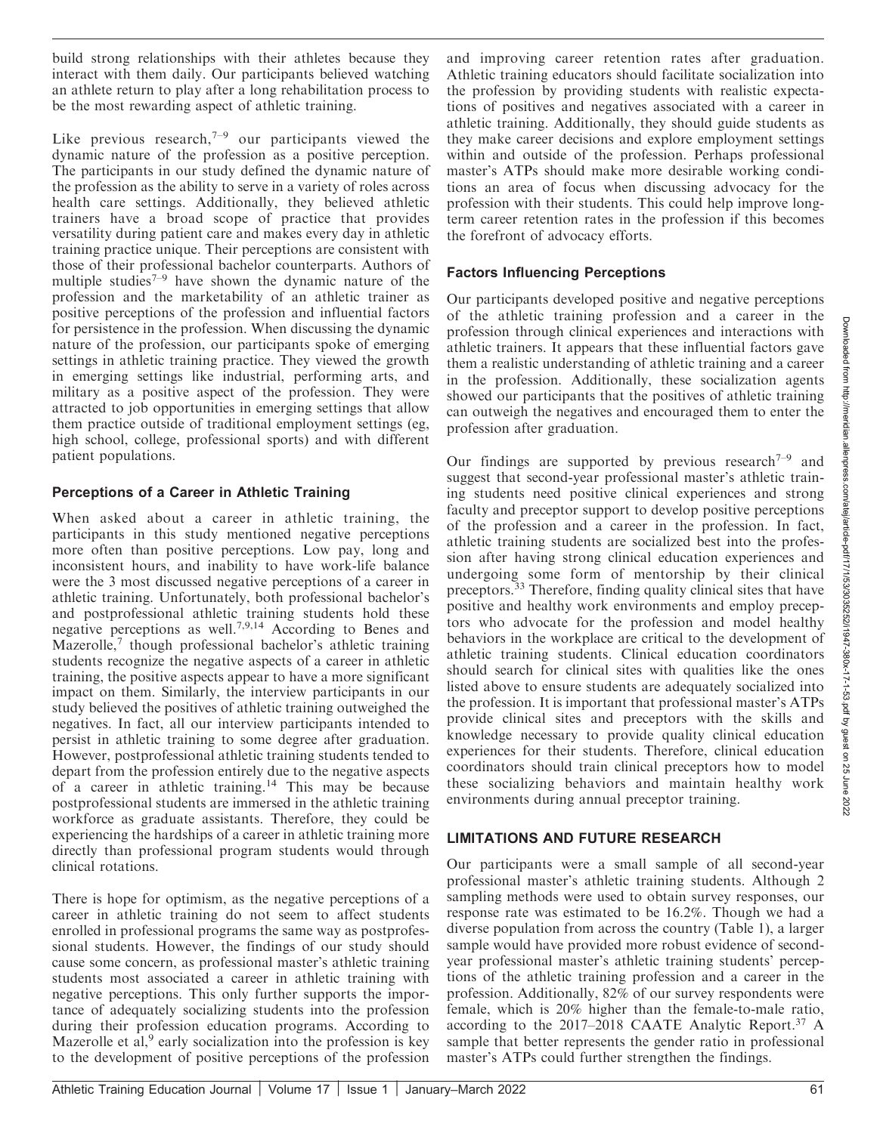build strong relationships with their athletes because they interact with them daily. Our participants believed watching an athlete return to play after a long rehabilitation process to be the most rewarding aspect of athletic training.

Like previous research, $7-9$  our participants viewed the dynamic nature of the profession as a positive perception. The participants in our study defined the dynamic nature of the profession as the ability to serve in a variety of roles across health care settings. Additionally, they believed athletic trainers have a broad scope of practice that provides versatility during patient care and makes every day in athletic training practice unique. Their perceptions are consistent with those of their professional bachelor counterparts. Authors of multiple studies<sup> $7-9$ </sup> have shown the dynamic nature of the profession and the marketability of an athletic trainer as positive perceptions of the profession and influential factors for persistence in the profession. When discussing the dynamic nature of the profession, our participants spoke of emerging settings in athletic training practice. They viewed the growth in emerging settings like industrial, performing arts, and military as a positive aspect of the profession. They were attracted to job opportunities in emerging settings that allow them practice outside of traditional employment settings (eg, high school, college, professional sports) and with different patient populations.

## Perceptions of a Career in Athletic Training

When asked about a career in athletic training, the participants in this study mentioned negative perceptions more often than positive perceptions. Low pay, long and inconsistent hours, and inability to have work-life balance were the 3 most discussed negative perceptions of a career in athletic training. Unfortunately, both professional bachelor's and postprofessional athletic training students hold these negative perceptions as well.7,9,14 According to Benes and Mazerolle, $\frac{7}{7}$  though professional bachelor's athletic training students recognize the negative aspects of a career in athletic training, the positive aspects appear to have a more significant impact on them. Similarly, the interview participants in our study believed the positives of athletic training outweighed the negatives. In fact, all our interview participants intended to persist in athletic training to some degree after graduation. However, postprofessional athletic training students tended to depart from the profession entirely due to the negative aspects of a career in athletic training.<sup>14</sup> This may be because postprofessional students are immersed in the athletic training workforce as graduate assistants. Therefore, they could be experiencing the hardships of a career in athletic training more directly than professional program students would through clinical rotations.

There is hope for optimism, as the negative perceptions of a career in athletic training do not seem to affect students enrolled in professional programs the same way as postprofessional students. However, the findings of our study should cause some concern, as professional master's athletic training students most associated a career in athletic training with negative perceptions. This only further supports the importance of adequately socializing students into the profession during their profession education programs. According to Mazerolle et al,  $9$  early socialization into the profession is key to the development of positive perceptions of the profession

and improving career retention rates after graduation. Athletic training educators should facilitate socialization into the profession by providing students with realistic expectations of positives and negatives associated with a career in athletic training. Additionally, they should guide students as they make career decisions and explore employment settings within and outside of the profession. Perhaps professional master's ATPs should make more desirable working conditions an area of focus when discussing advocacy for the profession with their students. This could help improve longterm career retention rates in the profession if this becomes the forefront of advocacy efforts.

## Factors Influencing Perceptions

Our participants developed positive and negative perceptions of the athletic training profession and a career in the profession through clinical experiences and interactions with athletic trainers. It appears that these influential factors gave them a realistic understanding of athletic training and a career in the profession. Additionally, these socialization agents showed our participants that the positives of athletic training can outweigh the negatives and encouraged them to enter the profession after graduation.

Our findings are supported by previous research<sup> $7-9$ </sup> and suggest that second-year professional master's athletic training students need positive clinical experiences and strong faculty and preceptor support to develop positive perceptions of the profession and a career in the profession. In fact, athletic training students are socialized best into the profession after having strong clinical education experiences and undergoing some form of mentorship by their clinical preceptors.<sup>33</sup> Therefore, finding quality clinical sites that have positive and healthy work environments and employ preceptors who advocate for the profession and model healthy behaviors in the workplace are critical to the development of athletic training students. Clinical education coordinators should search for clinical sites with qualities like the ones listed above to ensure students are adequately socialized into the profession. It is important that professional master's ATPs provide clinical sites and preceptors with the skills and knowledge necessary to provide quality clinical education experiences for their students. Therefore, clinical education coordinators should train clinical preceptors how to model these socializing behaviors and maintain healthy work environments during annual preceptor training.

## LIMITATIONS AND FUTURE RESEARCH

Our participants were a small sample of all second-year professional master's athletic training students. Although 2 sampling methods were used to obtain survey responses, our response rate was estimated to be 16.2%. Though we had a diverse population from across the country (Table 1), a larger sample would have provided more robust evidence of secondyear professional master's athletic training students' perceptions of the athletic training profession and a career in the profession. Additionally, 82% of our survey respondents were female, which is 20% higher than the female-to-male ratio, according to the 2017–2018 CAATE Analytic Report.37 A sample that better represents the gender ratio in professional master's ATPs could further strengthen the findings.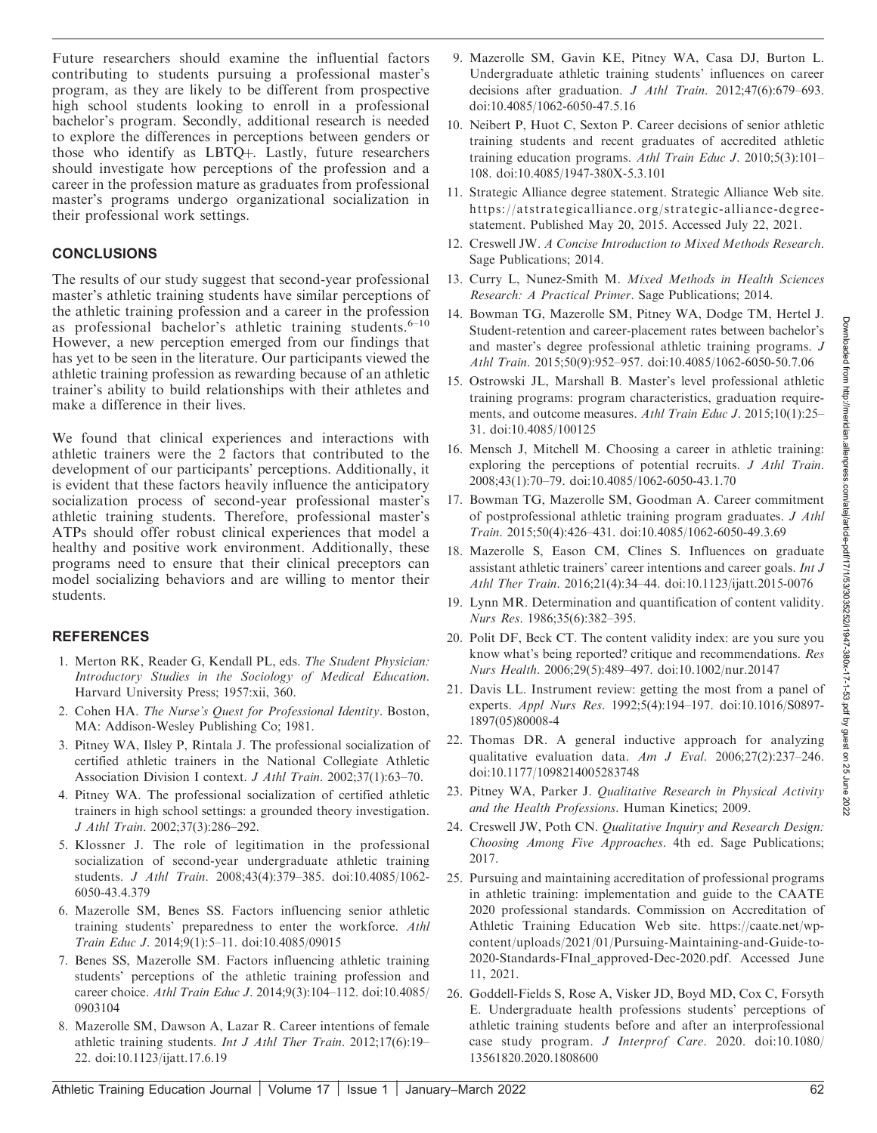Future researchers should examine the influential factors contributing to students pursuing a professional master's program, as they are likely to be different from prospective high school students looking to enroll in a professional bachelor's program. Secondly, additional research is needed to explore the differences in perceptions between genders or those who identify as LBTQ+. Lastly, future researchers should investigate how perceptions of the profession and a career in the profession mature as graduates from professional master's programs undergo organizational socialization in their professional work settings.

#### **CONCLUSIONS**

The results of our study suggest that second-year professional master's athletic training students have similar perceptions of the athletic training profession and a career in the profession as professional bachelor's athletic training students.<sup>6-10</sup> However, a new perception emerged from our findings that has yet to be seen in the literature. Our participants viewed the athletic training profession as rewarding because of an athletic trainer's ability to build relationships with their athletes and make a difference in their lives.

We found that clinical experiences and interactions with athletic trainers were the 2 factors that contributed to the development of our participants' perceptions. Additionally, it is evident that these factors heavily influence the anticipatory socialization process of second-year professional master's athletic training students. Therefore, professional master's ATPs should offer robust clinical experiences that model a healthy and positive work environment. Additionally, these programs need to ensure that their clinical preceptors can model socializing behaviors and are willing to mentor their students.

## REFERENCES

- 1. Merton RK, Reader G, Kendall PL, eds. The Student Physician: Introductory Studies in the Sociology of Medical Education. Harvard University Press; 1957:xii, 360.
- 2. Cohen HA. The Nurse's Quest for Professional Identity. Boston, MA: Addison-Wesley Publishing Co; 1981.
- 3. Pitney WA, Ilsley P, Rintala J. The professional socialization of certified athletic trainers in the National Collegiate Athletic Association Division I context. J Athl Train. 2002;37(1):63-70.
- 4. Pitney WA. The professional socialization of certified athletic trainers in high school settings: a grounded theory investigation. J Athl Train. 2002;37(3):286–292.
- 5. Klossner J. The role of legitimation in the professional socialization of second-year undergraduate athletic training students. J Athl Train. 2008;43(4):379–385. doi:10.4085/1062- 6050-43.4.379
- 6. Mazerolle SM, Benes SS. Factors influencing senior athletic training students' preparedness to enter the workforce. Athl Train Educ J. 2014;9(1):5–11. doi:10.4085/09015
- 7. Benes SS, Mazerolle SM. Factors influencing athletic training students' perceptions of the athletic training profession and career choice. Athl Train Educ J. 2014;9(3):104–112. doi:10.4085/ 0903104
- 8. Mazerolle SM, Dawson A, Lazar R. Career intentions of female athletic training students. Int J Athl Ther Train. 2012;17(6):19– 22. doi:10.1123/ijatt.17.6.19
- 9. Mazerolle SM, Gavin KE, Pitney WA, Casa DJ, Burton L. Undergraduate athletic training students' influences on career decisions after graduation. J Athl Train. 2012;47(6):679–693. doi:10.4085/1062-6050-47.5.16
- 10. Neibert P, Huot C, Sexton P. Career decisions of senior athletic training students and recent graduates of accredited athletic training education programs. Athl Train Educ J. 2010;5(3):101– 108. doi:10.4085/1947-380X-5.3.101
- 11. Strategic Alliance degree statement. Strategic Alliance Web site. https://atstrategicalliance.org/strategic-alliance-degreestatement. Published May 20, 2015. Accessed July 22, 2021.
- 12. Creswell JW. A Concise Introduction to Mixed Methods Research. Sage Publications; 2014.
- 13. Curry L, Nunez-Smith M. Mixed Methods in Health Sciences Research: A Practical Primer. Sage Publications; 2014.
- 14. Bowman TG, Mazerolle SM, Pitney WA, Dodge TM, Hertel J. Student-retention and career-placement rates between bachelor's and master's degree professional athletic training programs. J Athl Train. 2015;50(9):952–957. doi:10.4085/1062-6050-50.7.06
- 15. Ostrowski JL, Marshall B. Master's level professional athletic training programs: program characteristics, graduation requirements, and outcome measures. Athl Train Educ J. 2015;10(1):25– 31. doi:10.4085/100125
- 16. Mensch J, Mitchell M. Choosing a career in athletic training: exploring the perceptions of potential recruits. *J Athl Train.* 2008;43(1):70–79. doi:10.4085/1062-6050-43.1.70
- 17. Bowman TG, Mazerolle SM, Goodman A. Career commitment of postprofessional athletic training program graduates. J Athl Train. 2015;50(4):426–431. doi:10.4085/1062-6050-49.3.69
- 18. Mazerolle S, Eason CM, Clines S. Influences on graduate assistant athletic trainers' career intentions and career goals. Int J Athl Ther Train. 2016;21(4):34–44. doi:10.1123/ijatt.2015-0076
- 19. Lynn MR. Determination and quantification of content validity. Nurs Res. 1986;35(6):382–395.
- 20. Polit DF, Beck CT. The content validity index: are you sure you know what's being reported? critique and recommendations. Res Nurs Health. 2006;29(5):489–497. doi:10.1002/nur.20147
- 21. Davis LL. Instrument review: getting the most from a panel of experts. Appl Nurs Res. 1992;5(4):194–197. doi:10.1016/S0897- 1897(05)80008-4
- 22. Thomas DR. A general inductive approach for analyzing qualitative evaluation data. Am J Eval. 2006;27(2):237-246. doi:10.1177/1098214005283748
- 23. Pitney WA, Parker J. Qualitative Research in Physical Activity and the Health Professions. Human Kinetics; 2009.
- 24. Creswell JW, Poth CN. Qualitative Inquiry and Research Design: Choosing Among Five Approaches. 4th ed. Sage Publications; 2017.
- 25. Pursuing and maintaining accreditation of professional programs in athletic training: implementation and guide to the CAATE 2020 professional standards. Commission on Accreditation of Athletic Training Education Web site. https://caate.net/wpcontent/uploads/2021/01/Pursuing-Maintaining-and-Guide-to-2020-Standards-FInal\_approved-Dec-2020.pdf. Accessed June 11, 2021.
- 26. Goddell-Fields S, Rose A, Visker JD, Boyd MD, Cox C, Forsyth E. Undergraduate health professions students' perceptions of athletic training students before and after an interprofessional case study program. J Interprof Care. 2020. doi:10.1080/ 13561820.2020.1808600

Downloaded from http://meridian

allenpress